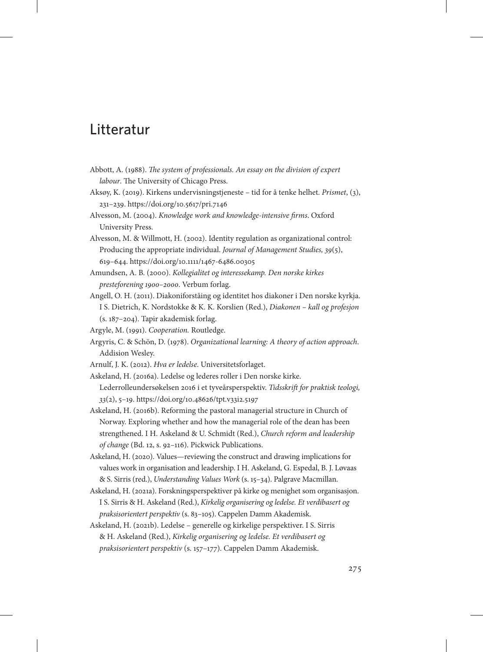## Litteratur

- Abbott, A. (1988). *The system of professionals. An essay on the division of expert labour*. The University of Chicago Press.
- Aksøy, K. (2019). Kirkens undervisningstjeneste tid for å tenke helhet. *Prismet*, (3), 231–239. <https://doi.org/10.5617/pri.7146>
- Alvesson, M. (2004). *Knowledge work and knowledge-intensive firms*. Oxford University Press.
- Alvesson, M. & Willmott, H. (2002). Identity regulation as organizational control: Producing the appropriate individual. *Journal of Management Studies, 39*(5), 619–644.<https://doi.org/10.1111/1467-6486.00305>
- Amundsen, A. B. (2000). *Kollegialitet og interessekamp. Den norske kirkes presteforening 1900–2000*. Verbum forlag.
- Angell, O. H. (2011). Diakoniforståing og identitet hos diakoner i Den norske kyrkja. I S. Dietrich, K. Nordstokke & K. K. Korslien (Red.), *Diakonen – kall og profesjon* (s. 187–204). Tapir akademisk forlag.
- Argyle, M. (1991). *Cooperation.* Routledge.
- Argyris, C. & Schön, D. (1978). *Organizational learning: A theory of action approach*. Addision Wesley.
- Arnulf, J. K. (2012). *Hva er ledelse*. Universitetsforlaget.
- Askeland, H. (2016a). Ledelse og lederes roller i Den norske kirke. Lederrolleundersøkelsen 2016 i et tyveårsperspektiv. *Tidsskrift for praktisk teologi, 33*(2), 5–19.<https://doi.org/10.48626/tpt.v33i2.5197>
- Askeland, H. (2016b). Reforming the pastoral managerial structure in Church of Norway. Exploring whether and how the managerial role of the dean has been strengthened. I H. Askeland & U. Schmidt (Red.), *Church reform and leadership of change* (Bd. 12, s. 92–116). Pickwick Publications.
- Askeland, H. (2020). Values—reviewing the construct and drawing implications for values work in organisation and leadership. I H. Askeland, G. Espedal, B. J. Løvaas & S. Sirris (red.), *Understanding Values Work* (s. 15–34). Palgrave Macmillan.
- Askeland, H. (2021a). Forskningsperspektiver på kirke og menighet som organisasjon. I S. Sirris & H. Askeland (Red.), *Kirkelig organisering og ledelse. Et verdibasert og praksisorientert perspektiv* (s. 83–105). Cappelen Damm Akademisk.
- Askeland, H. (2021b). Ledelse generelle og kirkelige perspektiver. I S. Sirris & H. Askeland (Red.), *Kirkelig organisering og ledelse. Et verdibasert og praksisorientert perspektiv* (s. 157–177). Cappelen Damm Akademisk.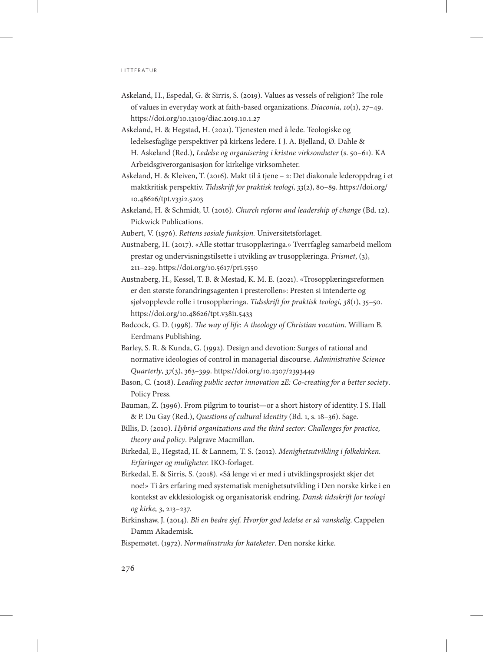- Askeland, H., Espedal, G. & Sirris, S. (2019). Values as vessels of religion? The role of values in everyday work at faith-based organizations. *Diaconia, 10*(1), 27–49. <https://doi.org/10.13109/diac.2019.10.1.27>
- Askeland, H. & Hegstad, H. (2021). Tjenesten med å lede. Teologiske og ledelsesfaglige perspektiver på kirkens ledere. I J. A. Bjelland, Ø. Dahle & H. Askeland (Red.), *Ledelse og organisering i kristne virksomheter* (s. 50–61). KA Arbeidsgiverorganisasjon for kirkelige virksomheter.
- Askeland, H. & Kleiven, T. (2016). Makt til å tjene 2: Det diakonale lederoppdrag i et maktkritisk perspektiv. *Tidsskrift for praktisk teologi, 33*(2), 80–89. [https://doi.org/](https://doi.org/10.48626/tpt.v33i2.5203) [10.48626/tpt.v33i2.5203](https://doi.org/10.48626/tpt.v33i2.5203)
- Askeland, H. & Schmidt, U. (2016). *Church reform and leadership of change* (Bd. 12). Pickwick Publications.
- Aubert, V. (1976). *Rettens sosiale funksjon.* Universitetsforlaget.
- Austnaberg, H. (2017). «Alle støttar trusopplæringa.» Tverrfagleg samarbeid mellom prestar og undervisningstilsette i utvikling av trusopplæringa. *Prismet*, (3), 211–229. <https://doi.org/10.5617/pri.5550>
- Austnaberg, H., Kessel, T. B. & Mestad, K. M. E. (2021). «Trosopplæringsreformen er den største forandringsagenten i presterollen»: Presten si intenderte og sjølvopplevde rolle i trusopplæringa. *Tidsskrift for praktisk teologi, 38*(1), 35–50. <https://doi.org/10.48626/tpt.v38i1.5433>
- Badcock, G. D. (1998). *The way of life: A theology of Christian vocation*. William B. Eerdmans Publishing.
- Barley, S. R. & Kunda, G. (1992). Design and devotion: Surges of rational and normative ideologies of control in managerial discourse. *Administrative Science Quarterly*, *37*(3), 363–399.<https://doi.org/10.2307/2393449>
- Bason, C. (2018). *Leading public sector innovation 2E: Co-creating for a better society*. Policy Press.
- Bauman, Z. (1996). From pilgrim to tourist—or a short history of identity. I S. Hall & P. Du Gay (Red.), *Questions of cultural identity* (Bd. 1, s. 18–36). Sage.
- Billis, D. (2010). *Hybrid organizations and the third sector: Challenges for practice, theory and policy*. Palgrave Macmillan.
- Birkedal, E., Hegstad, H. & Lannem, T. S. (2012). *Menighetsutvikling i folkekirken. Erfaringer og muligheter.* IKO-forlaget.
- Birkedal, E. & Sirris, S. (2018). «Så lenge vi er med i utviklingsprosjekt skjer det noe!» Ti års erfaring med systematisk menighetsutvikling i Den norske kirke i en kontekst av ekklesiologisk og organisatorisk endring. *Dansk tidsskrift for teologi og kirke, 3*, 213–237.
- Birkinshaw, J. (2014). *Bli en bedre sjef. Hvorfor god ledelse er så vanskelig*. Cappelen Damm Akademisk.
- Bispemøtet. (1972). *Normalinstruks for kateketer*. Den norske kirke.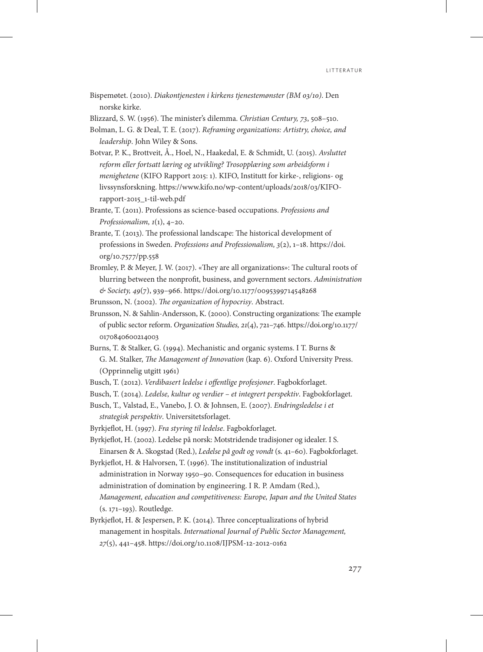Bispemøtet. (2010). *Diakontjenesten i kirkens tjenestemønster (BM 03/10)*. Den norske kirke.

Blizzard, S. W. (1956). The minister's dilemma. *Christian Century, 73*, 508–510.

Bolman, L. G. & Deal, T. E. (2017). *Reframing organizations: Artistry, choice, and leadership*. John Wiley & Sons.

- Botvar, P. K., Brottveit, Å., Hoel, N., Haakedal, E. & Schmidt, U. (2015). *Avsluttet reform eller fortsatt læring og utvikling? Trosopplæring som arbeidsform i menighetene* (KIFO Rapport 2015: 1). KIFO, Institutt for kirke-, religions- og livssynsforskning. https://www.kifo.no/wp-content/uploads/2018/03/KIFOrapport-2015\_1-til-web.pdf
- Brante, T. (2011). Professions as science-based occupations. *Professions and Professionalism, 1*(1), 4–20.
- Brante, T. (2013). The professional landscape: The historical development of professions in Sweden. *Professions and Professionalism, 3*(2), 1–18. [https://doi.](https://doi.org/10.7577/pp.558) [org/10.7577/pp.558](https://doi.org/10.7577/pp.558)
- Bromley, P. & Meyer, J. W. (2017). «They are all organizations»: The cultural roots of blurring between the nonprofit, business, and government sectors. *Administration & Society, 49*(7), 939–966.<https://doi.org/10.1177/0095399714548268>

Brunsson, N. (2002). *The organization of hypocrisy*. Abstract.

- Brunsson, N. & Sahlin-Andersson, K. (2000). Constructing organizations: The example of public sector reform. *Organization Studies, 21*(4), 721–746. [https://doi.org/10.1177/](https://doi.org/10.1177/0170840600214003) [0170840600214003](https://doi.org/10.1177/0170840600214003)
- Burns, T. & Stalker, G. (1994). Mechanistic and organic systems. I T. Burns & G. M. Stalker, *The Management of Innovation* (kap. 6). Oxford University Press. (Opprinnelig utgitt 1961)
- Busch, T. (2012). *Verdibasert ledelse i offentlige profesjoner*. Fagbokforlaget.
- Busch, T. (2014). *Ledelse, kultur og verdier et integrert perspektiv*. Fagbokforlaget.
- Busch, T., Valstad, E., Vanebo, J. O. & Johnsen, E. (2007). *Endringsledelse i et strategisk perspektiv*. Universitetsforlaget.
- Byrkjeflot, H. (1997). *Fra styring til ledelse*. Fagbokforlaget.
- Byrkjeflot, H. (2002). Ledelse på norsk: Motstridende tradisjoner og idealer. I S. Einarsen & A. Skogstad (Red.), *Ledelse på godt og vondt* (s. 41–60). Fagbokforlaget.
- Byrkjeflot, H. & Halvorsen, T. (1996). The institutionalization of industrial administration in Norway 1950–90. Consequences for education in business administration of domination by engineering. I R. P. Amdam (Red.), *Management, education and competitiveness: Europe, Japan and the United States* (s. 171–193). Routledge.
- Byrkjeflot, H. & Jespersen, P. K. (2014). Three conceptualizations of hybrid management in hospitals. *International Journal of Public Sector Management, 27*(5), 441–458.<https://doi.org/10.1108/IJPSM-12-2012-0162>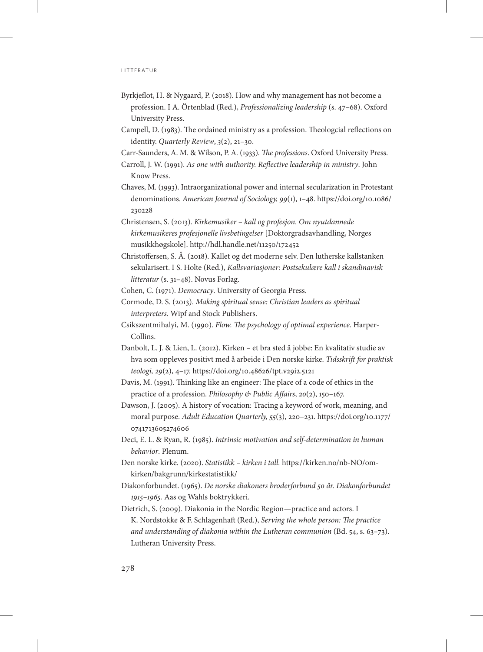- Byrkjeflot, H. & Nygaard, P. (2018). How and why management has not become a profession. I A. Örtenblad (Red.), *Professionalizing leadership* (s. 47–68). Oxford University Press.
- Campell, D. (1983). The ordained ministry as a profession. Theologcial reflections on identity. *Quarterly Review*, *3*(2), 21–30.
- Carr-Saunders, A. M. & Wilson, P. A. (1933). *The professions*. Oxford University Press.
- Carroll, J. W. (1991). *As one with authority. Reflective leadership in ministry*. John Know Press.
- Chaves, M. (1993). Intraorganizational power and internal secularization in Protestant denominations. *American Journal of Sociology, 99*(1), 1–48. [https://doi.org/10.1086/](https://doi.org/10.1086/230228
) [230228](https://doi.org/10.1086/230228
)
- Christensen, S. (2013). *Kirkemusiker kall og profesjon. Om nyutdannede kirkemusikeres profesjonelle livsbetingelser* [Doktorgradsavhandling, Norges musikkhøgskole].<http://hdl.handle.net/11250/172452>
- Christoffersen, S. Å. (2018). Kallet og det moderne selv. Den lutherske kallstanken sekularisert. I S. Holte (Red.), *Kallsvariasjoner: Postsekulære kall i skandinavisk litteratur* (s. 31–48). Novus Forlag.
- Cohen, C. (1971). *Democracy*. University of Georgia Press.
- Cormode, D. S. (2013). *Making spiritual sense: Christian leaders as spiritual interpreters*. Wipf and Stock Publishers.
- Csikszentmihalyi, M. (1990). *Flow. The psychology of optimal experience*. Harper-Collins.
- Danbolt, L. J. & Lien, L. (2012). Kirken et bra sted å jobbe: En kvalitativ studie av hva som oppleves positivt med å arbeide i Den norske kirke. *Tidsskrift for praktisk teologi, 29*(2), 4–17.<https://doi.org/10.48626/tpt.v29i2.5121>
- Davis, M. (1991). Thinking like an engineer: The place of a code of ethics in the practice of a profession. *Philosophy & Public Affairs*, *20*(2), 150–167.
- Dawson, J. (2005). A history of vocation: Tracing a keyword of work, meaning, and moral purpose. *Adult Education Quarterly, 55*(3), 220–231. [https://doi.org/10.1177/](https://doi.org/10.1177/0741713605274606) [0741713605274606](https://doi.org/10.1177/0741713605274606)
- Deci, E. L. & Ryan, R. (1985). *Intrinsic motivation and self-determination in human behavior*. Plenum.
- Den norske kirke. (2020). *Statistikk kirken i tall.* [https://kirken.no/nb-NO/om](https://kirken.no/nb-NO/om-kirken/bakgrunn/kirkestatistikk/)[kirken/bakgrunn/kirkestatistikk/](https://kirken.no/nb-NO/om-kirken/bakgrunn/kirkestatistikk/)
- Diakonforbundet. (1965). *De norske diakoners broderforbund 50 år. Diakonforbundet 1915–1965.* Aas og Wahls boktrykkeri.
- Dietrich, S. (2009). Diakonia in the Nordic Region—practice and actors. I K. Nordstokke & F. Schlagenhaft (Red.), *Serving the whole person: The practice and understanding of diakonia within the Lutheran communion* (Bd. 54, s. 63–73). Lutheran University Press.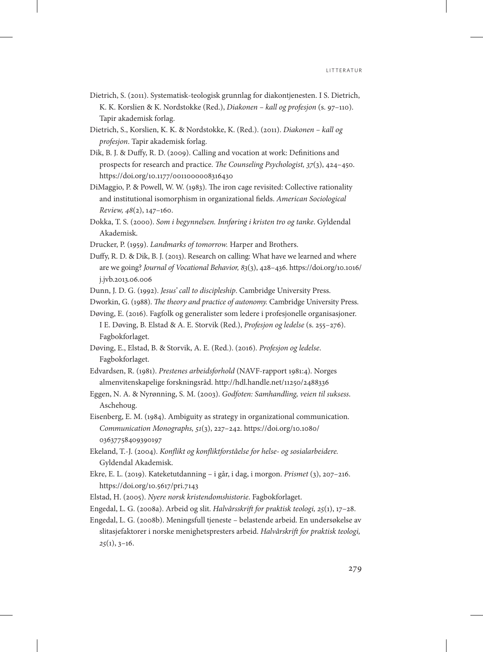- Dietrich, S. (2011). Systematisk-teologisk grunnlag for diakontjenesten. I S. Dietrich, K. K. Korslien & K. Nordstokke (Red.), *Diakonen – kall og profesjon* (s. 97–110). Tapir akademisk forlag.
- Dietrich, S., Korslien, K. K. & Nordstokke, K. (Red.). (2011). *Diakonen kall og profesjon*. Tapir akademisk forlag.
- Dik, B. J. & Duffy, R. D. (2009). Calling and vocation at work: Definitions and prospects for research and practice. *The Counseling Psychologist, 37*(3), 424–450. <https://doi.org/10.1177/0011000008316430>
- DiMaggio, P. & Powell, W. W. (1983). The iron cage revisited: Collective rationality and institutional isomorphism in organizational fields. *American Sociological Review, 48*(2), 147–160.
- Dokka, T. S. (2000). *Som i begynnelsen. Innføring i kristen tro og tanke*. Gyldendal Akademisk.
- Drucker, P. (1959). *Landmarks of tomorrow.* Harper and Brothers.
- Duffy, R. D. & Dik, B. J. (2013). Research on calling: What have we learned and where are we going? *Journal of Vocational Behavior, 83*(3), 428–436. [https://doi.org/10.1016/](https://doi.org/10.1016/j.jvb.2013.06.006
) [j.jvb.2013.06.006](https://doi.org/10.1016/j.jvb.2013.06.006
)
- Dunn, J. D. G. (1992). *Jesus' call to discipleship*. Cambridge University Press.
- Dworkin, G. (1988). *The theory and practice of autonomy.* Cambridge University Press.
- Døving, E. (2016). Fagfolk og generalister som ledere i profesjonelle organisasjoner. I E. Døving, B. Elstad & A. E. Storvik (Red.), *Profesjon og ledelse* (s. 255–276). Fagbokforlaget.
- Døving, E., Elstad, B. & Storvik, A. E. (Red.). (2016). *Profesjon og ledelse*. Fagbokforlaget.
- Edvardsen, R. (1981). *Prestenes arbeidsforhold* (NAVF-rapport 1981:4). Norges almenvitenskapelige forskningsråd. <http://hdl.handle.net/11250/2488336>
- Eggen, N. A. & Nyrønning, S. M. (2003). *Godfoten: Samhandling, veien til suksess*. Aschehoug.
- Eisenberg, E. M. (1984). Ambiguity as strategy in organizational communication. *Communication Monographs, 51*(3), 227–242. [https://doi.org/10.1080/](https://doi.org/10.1080/03637758409390197) [03637758409390197](https://doi.org/10.1080/03637758409390197)
- Ekeland, T.-J. (2004). *Konflikt og konfliktforståelse for helse- og sosialarbeidere.*  Gyldendal Akademisk.
- Ekre, E. L. (2019). Kateketutdanning i går, i dag, i morgon. *Prismet* (3), 207–216. <https://doi.org/10.5617/pri.7143>
- Elstad, H. (2005). *Nyere norsk kristendomshistorie*. Fagbokforlaget.
- Engedal, L. G. (2008a). Arbeid og slit. *Halvårsskrift for praktisk teologi, 25*(1), 17–28.
- Engedal, L. G. (2008b). Meningsfull tjeneste belastende arbeid. En undersøkelse av slitasjefaktorer i norske menighetspresters arbeid. *Halvårskrift for praktisk teologi, 25*(1), 3–16.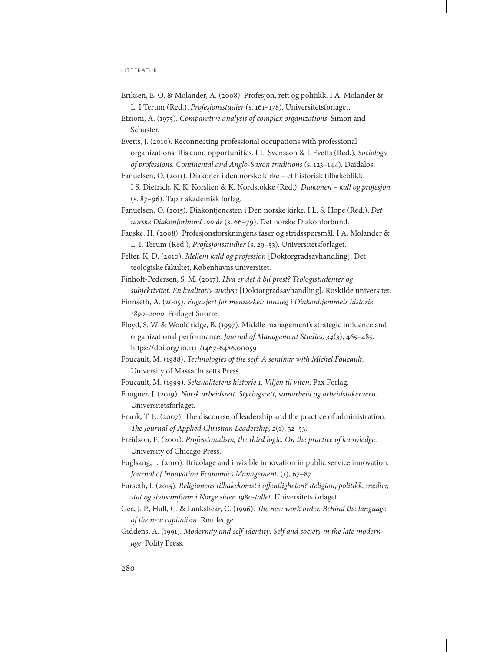- Eriksen, E. O. & Molander, A. (2008). Profesjon, rett og politikk. I A. Molander & L. I Terum (Red.), *Profesjonsstudier* (s. 161–178). Universitetsforlaget.
- Etzioni, A. (1975). *Comparative analysis of complex organizations*. Simon and Schuster.
- Evetts, J. (2010). Reconnecting professional occupations with professional organizations: Risk and opportunities. I L. Svensson & J. Evetts (Red.), *Sociology of professions. Continental and Anglo-Saxon traditions* (s. 123–144). Daidalos.
- Fanuelsen, O. (2011). Diakoner i den norske kirke et historisk tilbakeblikk. I S. Dietrich, K. K. Korslien & K. Nordstokke (Red.), *Diakonen – kall og profesjon* (s. 87–96). Tapir akademisk forlag.
- Fanuelsen, O. (2015). Diakontjenesten i Den norske kirke. I L. S. Hope (Red.), *Det norske Diakonforbund 100 år* (s. 66–79). Det norske Diakonforbund.
- Fauske, H. (2008). Profesjonsforskningens faser og stridsspørsmål. I A. Molander & L. I. Terum (Red.), *Profesjonsstudier* (s. 29–53). Universitetsforlaget.
- Felter, K. D. (2010). *Mellem kald og profession* [Doktorgradsavhandling]. Det teologiske fakultet, Københavns universitet.
- Finholt-Pedersen, S. M. (2017). *Hva er det å bli prest? Teologistudenter og subjektivitet. En kvalitativ analyse* [Doktorgradsavhandling]. Roskilde universitet.
- Finnseth, A. (2005). *Engasjert for mennesket: Innsteg i Diakonhjemmets historie 1890–2000*. Forlaget Snorre.
- Floyd, S. W. & Wooldridge, B. (1997). Middle management's strategic influence and organizational performance. *Journal of Management Studies, 34*(3), 465–485. <https://doi.org/10.1111/1467-6486.00059>
- Foucault, M. (1988). *Technologies of the self: A seminar with Michel Foucault*. University of Massachusetts Press.
- Foucault, M. (1999). *Seksualitetens historie 1. Viljen til viten*. Pax Forlag.
- Fougner, J. (2019). *Norsk arbeidsrett. Styringsrett, samarbeid og arbeidstakervern.* Universitetsforlaget.
- Frank, T. E. (2007). The discourse of leadership and the practice of administration. *The Journal of Applied Christian Leadership, 2*(1), 32–53.
- Freidson, E. (2001). *Professionalism, the third logic: On the practice of knowledge*. University of Chicago Press.
- Fuglsang, L. (2010). Bricolage and invisible innovation in public service innovation. *Journal of Innovation Economics Management*, (1), 67–87.
- Furseth, I. (2015). *Religionens tilbakekomst i offentligheten? Religion, politikk, medier, stat og sivilsamfunn i Norge siden 1980-tallet*. Universitetsforlaget.
- Gee, J. P., Hull, G. & Lankshear, C. (1996). *The new work order. Behind the language of the new capitalism*. Routledge.
- Giddens, A. (1991). *Modernity and self-identity: Self and society in the late modern age*. Polity Press.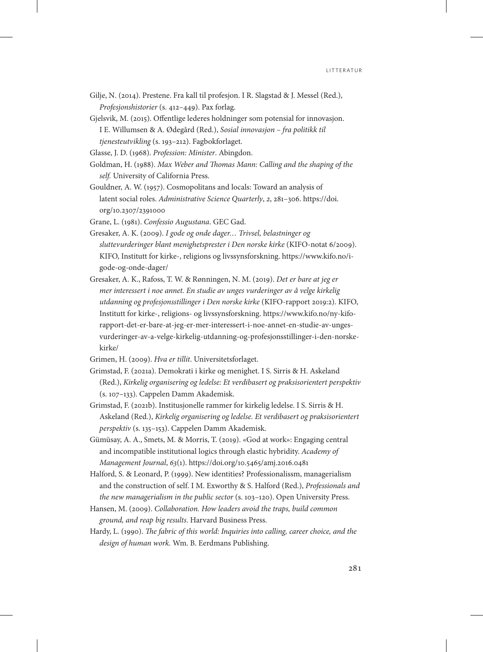- Gilje, N. (2014). Prestene. Fra kall til profesjon. I R. Slagstad & J. Messel (Red.), *Profesjonshistorier* (s. 412–449). Pax forlag.
- Gjelsvik, M. (2015). Offentlige lederes holdninger som potensial for innovasjon. I E. Willumsen & A. Ødegård (Red.), *Sosial innovasjon – fra politikk til tjenesteutvikling* (s. 193–212). Fagbokforlaget.

Glasse, J. D. (1968). *Profession: Minister*. Abingdon.

- Goldman, H. (1988). *Max Weber and Thomas Mann: Calling and the shaping of the self.* University of California Press.
- Gouldner, A. W. (1957). Cosmopolitans and locals: Toward an analysis of latent social roles. *Administrative Science Quarterly*, *2*, 281–306. [https://doi.](https://doi.org/10.2307/2391000) [org/10.2307/2391000](https://doi.org/10.2307/2391000)

Grane, L. (1981). *Confessio Augustana*. GEC Gad.

- Gresaker, A. K. (2009). *I gode og onde dager… Trivsel, belastninger og sluttevurderinger blant menighetsprester i Den norske kirke* (KIFO-notat 6/2009). KIFO, Institutt for kirke-, religions og livssynsforskning. [https://www.kifo.no/i](https://www.kifo.no/i-gode-og-onde-dager/)[gode-og-onde-dager/](https://www.kifo.no/i-gode-og-onde-dager/)
- Gresaker, A. K., Rafoss, T. W. & Rønningen, N. M. (2019). *Det er bare at jeg er mer interessert i noe annet. En studie av unges vurderinger av å velge kirkelig utdanning og profesjonsstillinger i Den norske kirke* (KIFO-rapport 2019:2). KIFO, Institutt for kirke-, religions- og livssynsforskning. [https://www.kifo.no/ny-kifo](https://www.kifo.no/ny-kifo-rapport-det-er-bare-at-jeg-er-mer-interessert-i-noe-annet-en-studie-av-unges-vurderinger-av-a-velge-kirkelig-utdanning-og-profesjonsstillinger-i-den-norske-kirke/)[rapport-det-er-bare-at-jeg-er-mer-interessert-i-noe-annet-en-studie-av-unges](https://www.kifo.no/ny-kifo-rapport-det-er-bare-at-jeg-er-mer-interessert-i-noe-annet-en-studie-av-unges-vurderinger-av-a-velge-kirkelig-utdanning-og-profesjonsstillinger-i-den-norske-kirke/)[vurderinger-av-a-velge-kirkelig-utdanning-og-profesjonsstillinger-i-den-norske](https://www.kifo.no/ny-kifo-rapport-det-er-bare-at-jeg-er-mer-interessert-i-noe-annet-en-studie-av-unges-vurderinger-av-a-velge-kirkelig-utdanning-og-profesjonsstillinger-i-den-norske-kirke/)[kirke/](https://www.kifo.no/ny-kifo-rapport-det-er-bare-at-jeg-er-mer-interessert-i-noe-annet-en-studie-av-unges-vurderinger-av-a-velge-kirkelig-utdanning-og-profesjonsstillinger-i-den-norske-kirke/)

Grimen, H. (2009). *Hva er tillit*. Universitetsforlaget.

- Grimstad, F. (2021a). Demokrati i kirke og menighet. I S. Sirris & H. Askeland (Red.), *Kirkelig organisering og ledelse: Et verdibasert og praksisorientert perspektiv* (s. 107–133). Cappelen Damm Akademisk.
- Grimstad, F. (2021b). Institusjonelle rammer for kirkelig ledelse. I S. Sirris & H. Askeland (Red.), *Kirkelig organisering og ledelse. Et verdibasert og praksisorientert perspektiv* (s. 135–153). Cappelen Damm Akademisk.
- Gümüsay, A. A., Smets, M. & Morris, T. (2019). «God at work»: Engaging central and incompatible institutional logics through elastic hybridity. *Academy of Management Journal*, *63*(1). <https://doi.org/10.5465/amj.2016.0481>
- Halford, S. & Leonard, P. (1999). New identities? Professionalissm, managerialism and the construction of self. I M. Exworthy & S. Halford (Red.), *Professionals and the new managerialism in the public sector* (s. 103–120). Open University Press.
- Hansen, M. (2009). *Collaboration. How leaders avoid the traps, build common ground, and reap big results*. Harvard Business Press.
- Hardy, L. (1990). *The fabric of this world: Inquiries into calling, career choice, and the design of human work.* Wm. B. Eerdmans Publishing.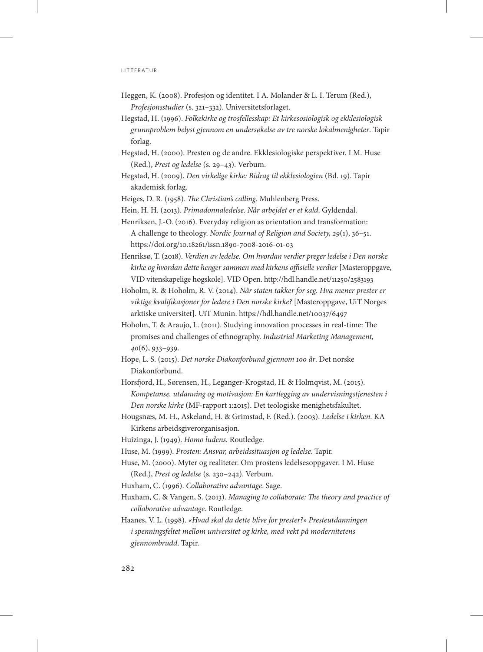## l i t t e r at u r

- Heggen, K. (2008). Profesjon og identitet. I A. Molander & L. I. Terum (Red.), *Profesjonsstudier* (s. 321–332). Universitetsforlaget.
- Hegstad, H. (1996). *Folkekirke og trosfellesskap: Et kirkesosiologisk og ekklesiologisk grunnproblem belyst gjennom en undersøkelse av tre norske lokalmenigheter*. Tapir forlag.
- Hegstad, H. (2000). Presten og de andre. Ekklesiologiske perspektiver. I M. Huse (Red.), *Prest og ledelse* (s. 29–43). Verbum.
- Hegstad, H. (2009). *Den virkelige kirke: Bidrag til ekklesiologien* (Bd. 19). Tapir akademisk forlag.
- Heiges, D. R. (1958). *The Christian's calling*. Muhlenberg Press.
- Hein, H. H. (2013). *Primadonnaledelse. Når arbejdet er et kald*. Gyldendal.
- Henriksen, J.-O. (2016). Everyday religion as orientation and transformation: A challenge to theology. *Nordic Journal of Religion and Society, 29*(1), 36–51. <https://doi.org/10.18261/issn.1890-7008-2016-01-03>
- Henriksø, T. (2018). *Verdien av ledelse. Om hvordan verdier preger ledelse i Den norske kirke og hvordan dette henger sammen med kirkens offisielle verdier* [Masteroppgave, VID vitenskapelige høgskole]. VID Open.<http://hdl.handle.net/11250/2583193>
- Hoholm, R. & Hoholm, R. V. (2014). *Når staten takker for seg. Hva mener prester er viktige kvalifikasjoner for ledere i Den norske kirke?* [Masteroppgave, UiT Norges arktiske universitet]. UiT Munin. <https://hdl.handle.net/10037/6497>
- Hoholm, T. & Araujo, L. (2011). Studying innovation processes in real-time: The promises and challenges of ethnography. *Industrial Marketing Management, 40*(6), 933–939.
- Hope, L. S. (2015). *Det norske Diakonforbund gjennom 100 år*. Det norske Diakonforbund.
- Horsfjord, H., Sørensen, H., Leganger-Krogstad, H. & Holmqvist, M. (2015). *Kompetanse, utdanning og motivasjon: En kartlegging av undervisningstjenesten i Den norske kirke* (MF-rapport 1:2015). Det teologiske menighetsfakultet.
- Hougsnæs, M. H., Askeland, H. & Grimstad, F. (Red.). (2003). *Ledelse i kirken*. KA Kirkens arbeidsgiverorganisasjon.
- Huizinga, J. (1949). *Homo ludens.* Routledge.
- Huse, M. (1999). *Prosten: Ansvar, arbeidssituasjon og ledelse*. Tapir.
- Huse, M. (2000). Myter og realiteter. Om prostens ledelsesoppgaver. I M. Huse (Red.), *Prest og ledelse* (s. 230–242). Verbum.
- Huxham, C. (1996). *Collaborative advantage*. Sage.
- Huxham, C. & Vangen, S. (2013). *Managing to collaborate: The theory and practice of collaborative advantage*. Routledge.
- Haanes, V. L. (1998). *«Hvad skal da dette blive for prester?» Presteutdanningen i spenningsfeltet mellom universitet og kirke, med vekt på modernitetens gjennombrudd*. Tapir.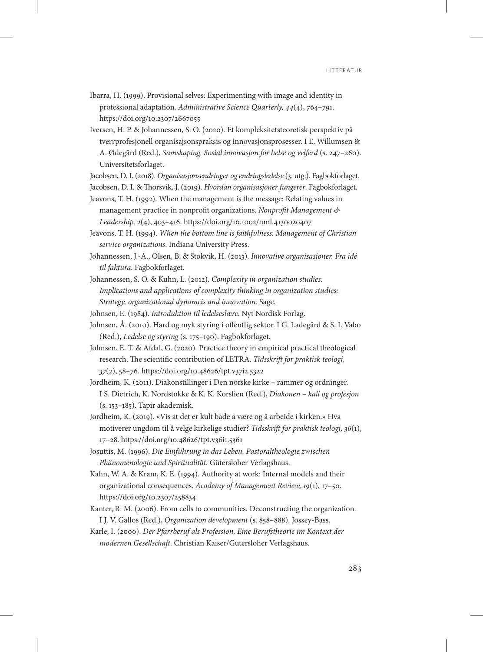- Ibarra, H. (1999). Provisional selves: Experimenting with image and identity in professional adaptation. *Administrative Science Quarterly, 44*(4), 764–791. <https://doi.org/10.2307/2667055>
- Iversen, H. P. & Johannessen, S. O. (2020). Et kompleksitetsteoretisk perspektiv på tverrprofesjonell organisajsonspraksis og innovasjonsprosesser. I E. Willumsen & A. Ødegård (Red.), *Samskaping. Sosial innovasjon for helse og velferd* (s. 247–260). Universitetsforlaget.

Jacobsen, D. I. (2018). *Organisasjonsendringer og endringsledelse* (3. utg.). Fagbokforlaget.

Jacobsen, D. I. & Thorsvik, J. (2019). *Hvordan organisasjoner fungerer*. Fagbokforlaget.

Jeavons, T. H. (1992). When the management is the message: Relating values in management practice in nonprofit organizations. *Nonprofit Management & Leadership, 2*(4), 403–416.<https://doi.org/10.1002/nml.4130020407>

Jeavons, T. H. (1994). *When the bottom line is faithfulness: Management of Christian service organizations*. Indiana University Press.

- Johannessen, J.-A., Olsen, B. & Stokvik, H. (2013). *Innovative organisasjoner. Fra idé til faktura*. Fagbokforlaget.
- Johannessen, S. O. & Kuhn, L. (2012). *Complexity in organization studies: Implications and applications of complexity thinking in organization studies: Strategy, organizational dynamcis and innovation*. Sage.
- Johnsen, E. (1984). *Introduktion til ledelseslære*. Nyt Nordisk Forlag.
- Johnsen, Å. (2010). Hard og myk styring i offentlig sektor. I G. Ladegård & S. I. Vabo (Red.), *Ledelse og styring* (s. 175–190). Fagbokforlaget.
- Johnsen, E. T. & Afdal, G. (2020). Practice theory in empirical practical theological research. The scientific contribution of LETRA. *Tidsskrift for praktisk teologi, 37*(2), 58–76.<https://doi.org/10.48626/tpt.v37i2.5322>
- Jordheim, K. (2011). Diakonstillinger i Den norske kirke rammer og ordninger. I S. Dietrich, K. Nordstokke & K. K. Korslien (Red.), *Diakonen – kall og profesjon* (s. 153–185). Tapir akademisk.
- Jordheim, K. (2019). «Vis at det er kult både å være og å arbeide i kirken.» Hva motiverer ungdom til å velge kirkelige studier? *Tidsskrift for praktisk teologi, 36*(1), 17–28.<https://doi.org/10.48626/tpt.v36i1.5361>

Josuttis, M. (1996). *Die Einführung in das Leben. Pastoraltheologie zwischen Phänomenologie und Spiritualität*. Gütersloher Verlagshaus.

Kahn, W. A. & Kram, K. E. (1994). Authority at work: Internal models and their organizational consequences. *Academy of Management Review, 19*(1), 17–50. <https://doi.org/10.2307/258834>

- Kanter, R. M. (2006). From cells to communities. Deconstructing the organization. I J. V. Gallos (Red.), *Organization development* (s. 858–888). Jossey-Bass.
- Karle, I. (2000). *Der Pfarrberuf als Profession. Eine Berufstheorie im Kontext der modernen Gesellschaft*. Christian Kaiser/Gutersloher Verlagshaus.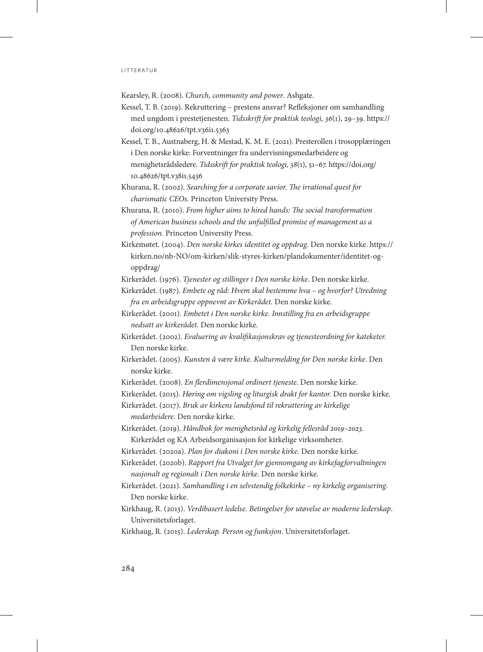Kearsley, R. (2008). *Church, community and power*. Ashgate.

- Kessel, T. B. (2019). Rekruttering prestens ansvar? Refleksjoner om samhandling med ungdom i prestetjenesten. *Tidsskrift for praktisk teologi, 36*(1), 29–39. [https://](https://doi.org/10.48626/tpt.v36i1.5363) [doi.org/10.48626/tpt.v36i1.5363](https://doi.org/10.48626/tpt.v36i1.5363)
- Kessel, T. B., Austnaberg, H. & Mestad, K. M. E. (2021). Presterollen i trosopplæringen i Den norske kirke: Forventninger fra undervisningsmedarbeidere og menighetsrådsledere. *Tidsskrift for praktisk teologi, 38*(1), 51–67. [https://doi.org/](https://doi.org/10.48626/tpt.v38i1.5436) [10.48626/tpt.v38i1.5436](https://doi.org/10.48626/tpt.v38i1.5436)
- Khurana, R. (2002). *Searching for a corporate savior. The irrational quest for charismatic CEOs.* Princeton University Press.
- Khurana, R. (2010). *From higher aims to hired hands: The social transformation of American business schools and the unfulfilled promise of management as a profession.* Princeton University Press.
- Kirkemøtet. (2004). *Den norske kirkes identitet og oppdrag*. Den norske kirke. [https://](https://kirken.no/nb-NO/om-kirken/slik-styres-kirken/plandokumenter/identitet-og-oppdrag/) [kirken.no/nb-NO/om-kirken/slik-styres-kirken/plandokumenter/identitet-og](https://kirken.no/nb-NO/om-kirken/slik-styres-kirken/plandokumenter/identitet-og-oppdrag/)[oppdrag/](https://kirken.no/nb-NO/om-kirken/slik-styres-kirken/plandokumenter/identitet-og-oppdrag/)
- Kirkerådet. (1976). *Tjenester og stillinger i Den norske kirke*. Den norske kirke.
- Kirkerådet. (1987). *Embete og råd: Hvem skal bestemme hva og hvorfor? Utredning fra en arbeidsgruppe oppnevnt av Kirkerådet*. Den norske kirke.
- Kirkerådet. (2001). *Embetet i Den norske kirke. Innstilling fra en arbeidsgruppe nedsatt av kirkerådet*. Den norske kirke.
- Kirkerådet. (2002). *Evaluering av kvalifikasjonskrav og tjenesteordning for kateketer.*  Den norske kirke.
- Kirkerådet. (2005). *Kunsten å være kirke. Kulturmelding for Den norske kirke*. Den norske kirke.
- Kirkerådet. (2008). *En flerdimensjonal ordinert tjeneste*. Den norske kirke.
- Kirkerådet. (2015). *Høring om vigsling og liturgisk drakt for kantor.* Den norske kirke.
- Kirkerådet. (2017). *Bruk av kirkens landsfond til rekruttering av kirkelige medarbeidere*. Den norske kirke.
- Kirkerådet. (2019). *Håndbok for menighetsråd og kirkelig fellesråd 2019–2023*. Kirkerådet og KA Arbeidsorganisasjon for kirkelige virksomheter.
- Kirkerådet. (2020a). *Plan for diakoni i Den norske kirke*. Den norske kirke.
- Kirkerådet. (2020b). *Rapport fra Utvalget for gjennomgang av kirkefagforvaltningen nasjonalt og regionalt i Den norske kirke*. Den norske kirke.
- Kirkerådet. (2021). *Samhandling i en selvstendig folkekirke ny kirkelig organisering*. Den norske kirke.
- Kirkhaug, R. (2013). *Verdibasert ledelse. Betingelser for utøvelse av moderne lederskap*. Universitetsforlaget.
- Kirkhaug, R. (2015). *Lederskap. Person og funksjon*. Universitetsforlaget.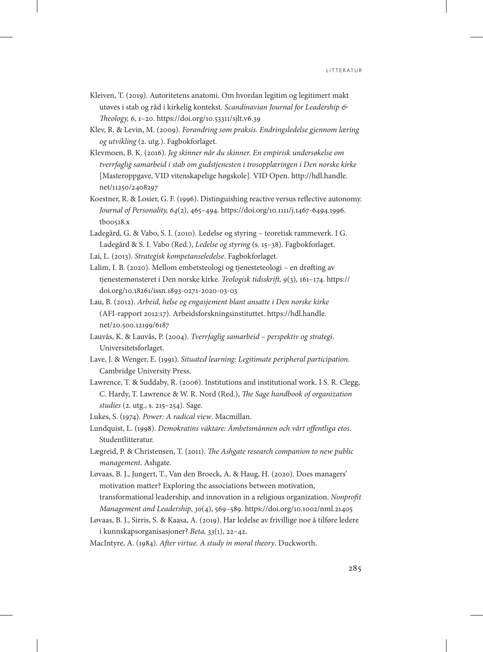- Kleiven, T. (2019). Autoritetens anatomi. Om hvordan legitim og legitimert makt utøves i stab og råd i kirkelig kontekst. *Scandinavian Journal for Leadership & Theology, 6*, 1–20.<https://doi.org/10.53311/sjlt.v6.39>
- Klev, R. & Levin, M. (2009). *Forandring som praksis. Endringsledelse gjennom læring og utvikling* (2. utg.). Fagbokforlaget.
- Klevmoen, B. K. (2016). *Jeg skinner når du skinner. En empirisk undersøkelse om tverrfaglig samarbeid i stab om gudstjenesten i trosopplæringen i Den norske kirke* [Masteroppgave, VID vitenskapelige høgskole]. VID Open. [http://hdl.handle.](http://hdl.handle.net/11250/2408297) [net/11250/2408297](http://hdl.handle.net/11250/2408297)
- Koestner, R. & Losier, G. F. (1996). Distinguishing reactive versus reflective autonomy. *Journal of Personality, 64*(2), 465–494. [https://doi.org/10.1111/j.1467-6494.1996.](https://doi.org/10.1111/j.1467-6494.1996.tb00518.x) [tb00518.x](https://doi.org/10.1111/j.1467-6494.1996.tb00518.x)
- Ladegård, G. & Vabo, S. I. (2010). Ledelse og styring teoretisk rammeverk. I G. Ladegård & S. I. Vabo (Red.), *Ledelse og styring* (s. 15–38). Fagbokforlaget.
- Lai, L. (2013). *Strategisk kompetanseledelse*. Fagbokforlaget.
- Lalim, I. B. (2020). Mellom embetsteologi og tjenesteteologi en drøfting av tjenestemønsteret i Den norske kirke. *Teologisk tidsskrift, 9*(3), 161–174. [https://](https://doi.org/10.18261/issn.1893-0271-2020-03-03) [doi.org/10.18261/issn.1893-0271-2020-03-03](https://doi.org/10.18261/issn.1893-0271-2020-03-03)
- Lau, B. (2012). *Arbeid, helse og engasjement blant ansatte i Den norske kirke*  (AFI-rapport 2012:17). Arbeidsforskningsinstituttet. [https://hdl.handle.](https://hdl.handle.net/20.500.12199/6187) [net/20.500.12199/6187](https://hdl.handle.net/20.500.12199/6187)
- Lauvås, K. & Lauvås, P. (2004). *Tverrfaglig samarbeid perspektiv og strategi*. Universitetsforlaget.
- Lave, J. & Wenger, E. (1991). *Situated learning: Legitimate peripheral participation*. Cambridge University Press.
- Lawrence, T. & Suddaby, R. (2006). Institutions and institutional work. I S. R. Clegg, C. Hardy, T. Lawrence & W. R. Nord (Red.), *The Sage handbook of organization studies* (2. utg., s. 215–254). Sage.
- Lukes, S. (1974). *Power: A radical view*. Macmillan.
- Lundquist, L. (1998). *Demokratins väktare: Ämbetsmännen och vårt offentliga etos*. Studentlitteratur.
- Lægreid, P. & Christensen, T. (2011). *The Ashgate research companion to new public management*. Ashgate.
- Løvaas, B. J., Jungert, T., Van den Broeck, A. & Haug, H. (2020). Does managers' motivation matter? Exploring the associations between motivation, transformational leadership, and innovation in a religious organization. *Nonprofit Management and Leadership*, *30*(4), 569–589. <https://doi.org/10.1002/nml.21405>
- Løvaas, B. J., Sirris, S. & Kaasa, A. (2019). Har ledelse av frivillige noe å tilføre ledere i kunnskapsorganisasjoner? *Beta, 33*(1), 22–42.
- MacIntyre, A. (1984). *After virtue. A study in moral theory*. Duckworth.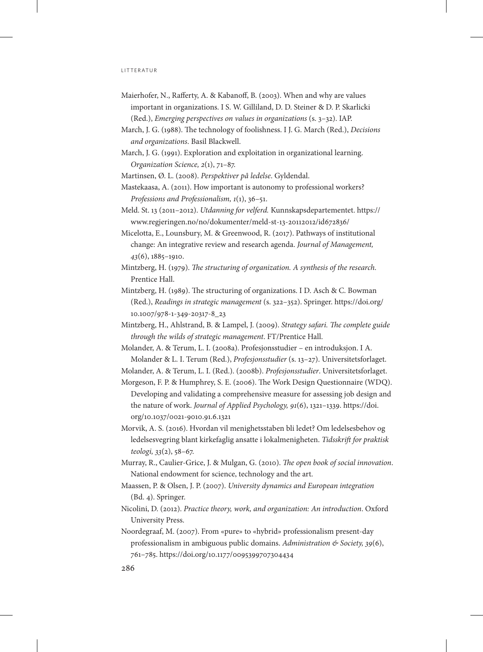- Maierhofer, N., Rafferty, A. & Kabanoff, B. (2003). When and why are values important in organizations. I S. W. Gilliland, D. D. Steiner & D. P. Skarlicki (Red.), *Emerging perspectives on values in organizations* (s. 3–32). IAP.
- March, J. G. (1988). The technology of foolishness. I J. G. March (Red.), *Decisions and organizations*. Basil Blackwell.
- March, J. G. (1991). Exploration and exploitation in organizational learning. *Organization Science, 2*(1), 71–87.

Martinsen, Ø. L. (2008). *Perspektiver på ledelse*. Gyldendal.

- Mastekaasa, A. (2011). How important is autonomy to professional workers? *Professions and Professionalism, 1*(1), 36–51.
- Meld. St. 13 (2011–2012). *Utdanning for velferd.* Kunnskapsdepartementet. [https://](https://www.regjeringen.no/no/dokumenter/meld-st-13-20112012/id672836/) [www.regjeringen.no/no/dokumenter/meld-st-13-20112012/id672836/](https://www.regjeringen.no/no/dokumenter/meld-st-13-20112012/id672836/)
- Micelotta, E., Lounsbury, M. & Greenwood, R. (2017). Pathways of institutional change: An integrative review and research agenda. *Journal of Management, 43*(6), 1885–1910.
- Mintzberg, H. (1979). *The structuring of organization. A synthesis of the research*. Prentice Hall.
- Mintzberg, H. (1989). The structuring of organizations. I D. Asch & C. Bowman (Red.), *Readings in strategic management* (s. 322–352). Springer. [https://doi.org/](https://doi.org/10.1007/978-1-349-20317-8_23) [10.1007/978-1-349-20317-8\\_23](https://doi.org/10.1007/978-1-349-20317-8_23)
- Mintzberg, H., Ahlstrand, B. & Lampel, J. (2009). *Strategy safari. The complete guide through the wilds of strategic management*. FT/Prentice Hall.
- Molander, A. & Terum, L. I. (2008a). Profesjonsstudier en introduksjon. I A. Molander & L. I. Terum (Red.), *Profesjonsstudier* (s. 13–27). Universitetsforlaget.

Molander, A. & Terum, L. I. (Red.). (2008b). *Profesjonsstudier*. Universitetsforlaget.

- Morgeson, F. P. & Humphrey, S. E. (2006). The Work Design Questionnaire (WDQ). Developing and validating a comprehensive measure for assessing job design and the nature of work. *Journal of Applied Psychology, 91*(6), 1321–1339. [https://doi.](https://doi.org/10.1037/0021-9010.91.6.1321) [org/10.1037/0021-9010.91.6.1321](https://doi.org/10.1037/0021-9010.91.6.1321)
- Morvik, A. S. (2016). Hvordan vil menighetsstaben bli ledet? Om ledelsesbehov og ledelsesvegring blant kirkefaglig ansatte i lokalmenigheten. *Tidsskrift for praktisk teologi, 33*(2), 58–67.
- Murray, R., Caulier-Grice, J. & Mulgan, G. (2010). *The open book of social innovation*. National endowment for science, technology and the art.
- Maassen, P. & Olsen, J. P. (2007). *University dynamics and European integration* (Bd. 4). Springer.
- Nicolini, D. (2012). *Practice theory, work, and organization: An introduction*. Oxford University Press.
- Noordegraaf, M. (2007). From «pure» to «hybrid» professionalism present-day professionalism in ambiguous public domains. *Administration & Society, 39*(6), 761–785.<https://doi.org/10.1177/0095399707304434>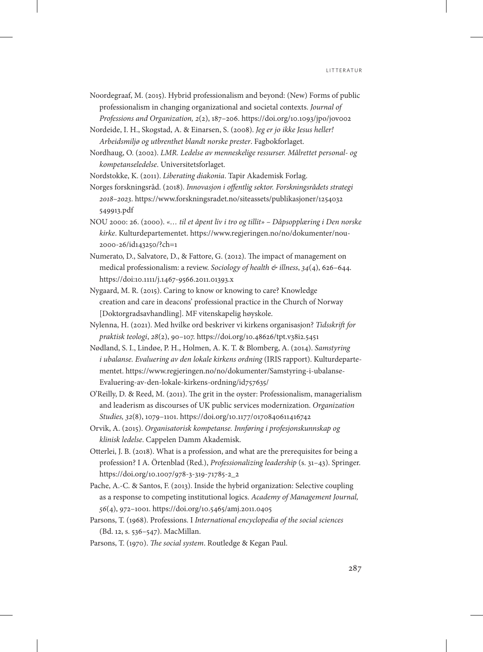Noordegraaf, M. (2015). Hybrid professionalism and beyond: (New) Forms of public professionalism in changing organizational and societal contexts. *Journal of Professions and Organization, 2*(2), 187–206. <https://doi.org/10.1093/jpo/jov002>

Nordeide, I. H., Skogstad, A. & Einarsen, S. (2008). *Jeg er jo ikke Jesus heller! Arbeidsmiljø og utbrenthet blandt norske prester*. Fagbokforlaget.

Nordhaug, O. (2002). *LMR. Ledelse av menneskelige ressurser. Målrettet personal- og kompetanseledelse*. Universitetsforlaget.

Nordstokke, K. (2011). *Liberating diakonia*. Tapir Akademisk Forlag.

Norges forskningsråd. (2018). *Innovasjon i offentlig sektor. Forskningsrådets strategi 2018–2023*. [https://www.forskningsradet.no/siteassets/publikasjoner/1254032](https://www.forskningsradet.no/siteassets/publikasjoner/1254032549913.pdf) [549913.pdf](https://www.forskningsradet.no/siteassets/publikasjoner/1254032549913.pdf)

- NOU 2000: 26. (2000). *«… til et åpent liv i tro og tillit» Dåpsopplæring i Den norske kirke*. Kulturdepartementet. [https://www.regjeringen.no/no/dokumenter/nou-](https://www.regjeringen.no/no/dokumenter/nou-2000-26/id143250/?ch=1)[2000-26/id143250/?ch=1](https://www.regjeringen.no/no/dokumenter/nou-2000-26/id143250/?ch=1)
- Numerato, D., Salvatore, D., & Fattore, G. (2012). The impact of management on medical professionalism: a review. *Sociology of health & illness*, *34*(4), 626–644. <https://doi:10.1111/j.1467-9566.2011.01393.x>
- Nygaard, M. R. (2015). Caring to know or knowing to care? Knowledge creation and care in deacons' professional practice in the Church of Norway [Doktorgradsavhandling]. MF vitenskapelig høyskole.
- Nylenna, H. (2021). Med hvilke ord beskriver vi kirkens organisasjon? *Tidsskrift for praktisk teologi*, *28*(2), 90–107.<https://doi.org/10.48626/tpt.v38i2.5451>
- Nødland, S. I., Lindøe, P. H., Holmen, A. K. T. & Blomberg, A. (2014). *Samstyring*  i ubalanse. Evaluering av den lokale kirkens ordning (IRIS rapport). Kulturdepartementet. [https://www.regjeringen.no/no/dokumenter/Samstyring-i-ubalanse-](https://www.regjeringen.no/no/dokumenter/Samstyring-i-ubalanse-Evaluering-av-den-lokale-kirkens-ordning/id757635/)[Evaluering-av-den-lokale-kirkens-ordning/id757635/](https://www.regjeringen.no/no/dokumenter/Samstyring-i-ubalanse-Evaluering-av-den-lokale-kirkens-ordning/id757635/)
- O'Reilly, D. & Reed, M. (2011). The grit in the oyster: Professionalism, managerialism and leaderism as discourses of UK public services modernization. *Organization Studies, 32*(8), 1079–1101. <https://doi.org/10.1177/0170840611416742>
- Orvik, A. (2015). *Organisatorisk kompetanse. Innføring i profesjonskunnskap og klinisk ledelse*. Cappelen Damm Akademisk.
- Otterlei, J. B. (2018). What is a profession, and what are the prerequisites for being a profession? I A. Örtenblad (Red.), *Professionalizing leadership* (s. 31–43). Springer. [https://doi.org/10.1007/978-3-319-71785-2\\_2](https://doi.org/10.1007/978-3-319-71785-2_2)
- Pache, A.-C. & Santos, F. (2013). Inside the hybrid organization: Selective coupling as a response to competing institutional logics. *Academy of Management Journal, 56*(4), 972–1001.<https://doi.org/10.5465/amj.2011.0405>
- Parsons, T. (1968). Professions. I *International encyclopedia of the social sciences* (Bd. 12, s. 536–547). MacMillan.
- Parsons, T. (1970). *The social system*. Routledge & Kegan Paul.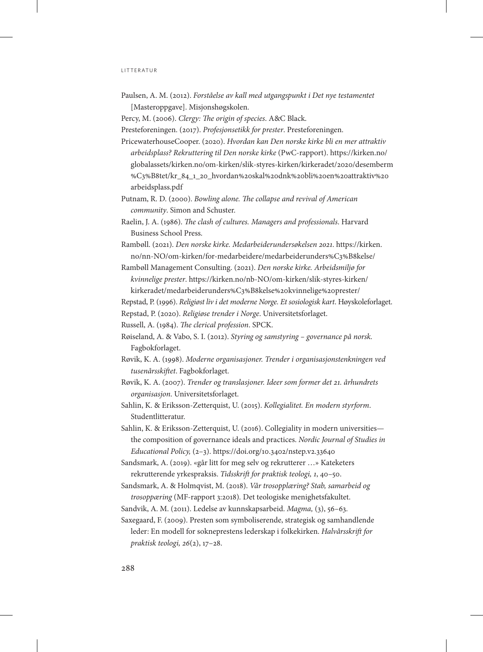- Paulsen, A. M. (2012). *Forståelse av kall med utgangspunkt i Det nye testamentet* [Masteroppgave]. Misjonshøgskolen.
- Percy, M. (2006). *Clergy: The origin of species*. A&C Black.
- Presteforeningen. (2017). *Profesjonsetikk for prester*. Presteforeningen.
- PricewaterhouseCooper. (2020). *Hvordan kan Den norske kirke bli en mer attraktiv arbeidsplass? Rekruttering til Den norske kirke* (PwC-rapport). [https://kirken.no/](https://kirken.no/globalassets/kirken.no/om-kirken/slik-styres-kirken/kirkeradet/2020/desemberm%C3%B8tet/kr_84_1_20_hvordan%20skal%20dnk%20bli%20en%20attraktiv%20arbeidsplass.pdf) [globalassets/kirken.no/om-kirken/slik-styres-kirken/kirkeradet/2020/desemberm](https://kirken.no/globalassets/kirken.no/om-kirken/slik-styres-kirken/kirkeradet/2020/desemberm%C3%B8tet/kr_84_1_20_hvordan%20skal%20dnk%20bli%20en%20attraktiv%20arbeidsplass.pdf) [%C3%B8tet/kr\\_84\\_1\\_20\\_hvordan%20skal%20dnk%20bli%20en%20attraktiv%20](https://kirken.no/globalassets/kirken.no/om-kirken/slik-styres-kirken/kirkeradet/2020/desemberm%C3%B8tet/kr_84_1_20_hvordan%20skal%20dnk%20bli%20en%20attraktiv%20arbeidsplass.pdf) [arbeidsplass.pdf](https://kirken.no/globalassets/kirken.no/om-kirken/slik-styres-kirken/kirkeradet/2020/desemberm%C3%B8tet/kr_84_1_20_hvordan%20skal%20dnk%20bli%20en%20attraktiv%20arbeidsplass.pdf)
- Putnam, R. D. (2000). *Bowling alone. The collapse and revival of American community*. Simon and Schuster.
- Raelin, J. A. (1986). *The clash of cultures. Managers and professionals*. Harvard Business School Press.
- Rambøll. (2021). *Den norske kirke. Medarbeiderundersøkelsen 2021*. [https://kirken.](https://kirken.no/nn-NO/om-kirken/for-medarbeidere/medarbeiderunders%C3%B8kelse/) [no/nn-NO/om-kirken/for-medarbeidere/medarbeiderunders%C3%B8kelse/](https://kirken.no/nn-NO/om-kirken/for-medarbeidere/medarbeiderunders%C3%B8kelse/)
- Rambøll Management Consulting. (2021). *Den norske kirke. Arbeidsmiljø for kvinnelige prester*. [https://kirken.no/nb-NO/om-kirken/slik-styres-kirken/](https://kirken.no/nb-NO/om-kirken/slik-styres-kirken/kirkeradet/medarbeiderunders%C3%B8kelse%20kvinnelige%20prester/) [kirkeradet/medarbeiderunders%C3%B8kelse%20kvinnelige%20prester/](https://kirken.no/nb-NO/om-kirken/slik-styres-kirken/kirkeradet/medarbeiderunders%C3%B8kelse%20kvinnelige%20prester/)

Repstad, P. (1996). *Religiøst liv i det moderne Norge. Et sosiologisk kart*. Høyskoleforlaget.

- Repstad, P. (2020). *Religiøse trender i Norge*. Universitetsforlaget.
- Russell, A. (1984). *The clerical profession*. SPCK.
- Røiseland, A. & Vabo, S. I. (2012). *Styring og samstyring governance på norsk.*  Fagbokforlaget.
- Røvik, K. A. (1998). *Moderne organisasjoner. Trender i organisasjonstenkningen ved tusenårsskiftet*. Fagbokforlaget.
- Røvik, K. A. (2007). *Trender og translasjoner. Ideer som former det 21. århundrets organisasjon*. Universitetsforlaget.
- Sahlin, K. & Eriksson-Zetterquist, U. (2015). *Kollegialitet. En modern styrform*. Studentlitteratur.
- Sahlin, K. & Eriksson-Zetterquist, U. (2016). Collegiality in modern universities the composition of governance ideals and practices. *Nordic Journal of Studies in Educational Policy,* (2–3).<https://doi.org/10.3402/nstep.v2.33640>
- Sandsmark, A. (2019). «går litt for meg selv og rekrutterer …» Kateketers rekrutterende yrkespraksis. *Tidsskrift for praktisk teologi, 1*, 40–50.
- Sandsmark, A. & Holmqvist, M. (2018). *Vår trosopplæring? Stab, samarbeid og trosoppæring* (MF-rapport 3:2018)*.* Det teologiske menighetsfakultet.
- Sandvik, A. M. (2011). Ledelse av kunnskapsarbeid. *Magma,* (3), 56–63.
- Saxegaard, F. (2009). Presten som symboliserende, strategisk og samhandlende leder: En modell for sokneprestens lederskap i folkekirken. *Halvårsskrift for praktisk teologi, 26*(2), 17–28.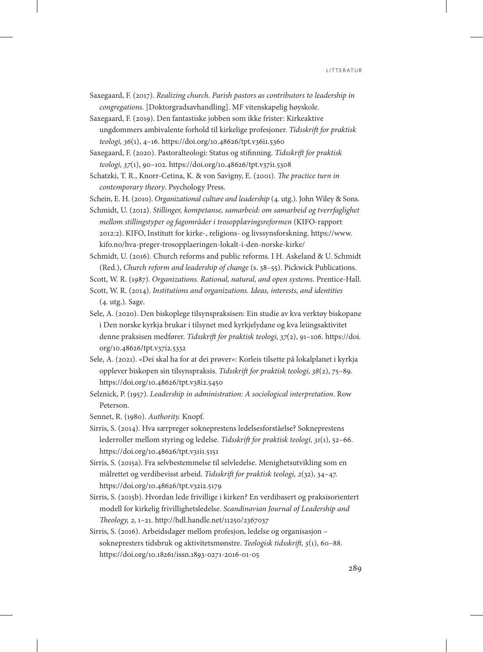Saxegaard, F. (2017). *Realizing church. Parish pastors as contributors to leadership in congregations.* [Doktorgradsavhandling]. MF vitenskapelig høyskole.

Saxegaard, F. (2019). Den fantastiske jobben som ikke frister: Kirkeaktive ungdommers ambivalente forhold til kirkelige profesjoner. *Tidsskrift for praktisk teologi, 36*(1), 4–16. <https://doi.org/10.48626/tpt.v36i1.5360>

Saxegaard, F. (2020). Pastoralteologi: Status og stifinning. *Tidsskrift for praktisk teologi, 37*(1), 90–102. <https://doi.org/10.48626/tpt.v37i1.5308>

Schatzki, T. R., Knorr-Cetina, K. & von Savigny, E. (2001). *The practice turn in contemporary theory*. Psychology Press.

Schein, E. H. (2010). *Organizational culture and leadership* (4. utg.). John Wiley & Sons.

Schmidt, U. (2012). *Stillinger, kompetanse, samarbeid: om samarbeid og tverrfaglighet mellom stillingstyper og fagområder i trosopplæringsreformen* (KIFO-rapport 2012:2). KIFO, Institutt for kirke-, religions- og livssynsforskning. [https://www.](https://www.kifo.no/hva-preger-trosopplaeringen-lokalt-i-den-norske-kirke/) [kifo.no/hva-preger-trosopplaeringen-lokalt-i-den-norske-kirke/](https://www.kifo.no/hva-preger-trosopplaeringen-lokalt-i-den-norske-kirke/)

Schmidt, U. (2016). Church reforms and public reforms. I H. Askeland & U. Schmidt (Red.), *Church reform and leadership of change* (s. 38–55). Pickwick Publications.

Scott, W. R. (1987). *Organizations. Rational, natural, and open systems*. Prentice-Hall.

Scott, W. R. (2014). *Institutions and organizations. Ideas, interests, and identities* (4. utg.). Sage.

- Sele, A. (2020). Den biskoplege tilsynspraksisen: Ein studie av kva verktøy biskopane i Den norske kyrkja brukar i tilsynet med kyrkjelydane og kva leiingsaktivitet denne praksisen medfører. *Tidsskrift for praktisk teologi, 37*(2), 91–106. [https://doi.](https://doi.org/10.48626/tpt.v37i2.5332) [org/10.48626/tpt.v37i2.5332](https://doi.org/10.48626/tpt.v37i2.5332)
- Sele, A. (2021). «Dei skal ha for at dei prøver»: Korleis tilsette på lokalplanet i kyrkja opplever biskopen sin tilsynspraksis. *Tidsskrift for praktisk teologi, 38*(2), 75–89. <https://doi.org/10.48626/tpt.v38i2.5450>

Selznick, P. (1957). *Leadership in administration: A sociological interpretation*. Row Peterson.

Sennet, R. (1980). *Authority.* Knopf.

Sirris, S. (2014). Hva særpreger sokneprestens ledelsesforståelse? Sokneprestens lederroller mellom styring og ledelse. *Tidsskrift for praktisk teologi, 31*(1), 52–66. <https://doi.org/10.48626/tpt.v31i1.5151>

Sirris, S. (2015a). Fra selvbestemmelse til selvledelse. Menighetsutvikling som en målrettet og verdibevisst arbeid. *Tidsskrift for praktisk teologi, 2*(32), 34–47. <https://doi.org/10.48626/tpt.v32i2.5179>

- Sirris, S. (2015b). Hvordan lede frivillige i kirken? En verdibasert og praksisorientert modell for kirkelig frivillighetsledelse. *Scandinavian Journal of Leadership and Theology, 2*, 1–21.<http://hdl.handle.net/11250/2367037>
- Sirris, S. (2016). Arbeidsdager mellom profesjon, ledelse og organisasjon soknepresters tidsbruk og aktivitetsmønstre. *Teologisk tidsskrift, 5*(1), 60–88. <https://doi.org/10.18261/issn.1893-0271-2016-01-05>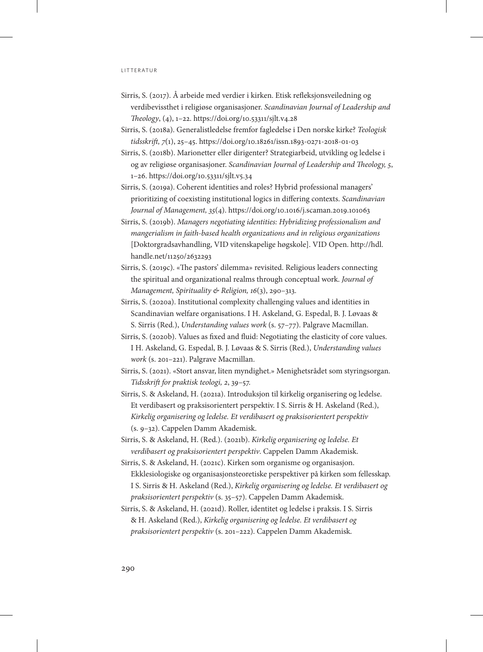- Sirris, S. (2017). Å arbeide med verdier i kirken. Etisk refleksjonsveiledning og verdibevissthet i religiøse organisasjoner. *Scandinavian Journal of Leadership and Theology*, (4), 1–22.<https://doi.org/10.53311/sjlt.v4.28>
- Sirris, S. (2018a). Generalistledelse fremfor fagledelse i Den norske kirke? *Teologisk tidsskrift, 7*(1), 25–45.<https://doi.org/10.18261/issn.1893-0271-2018-01-03>
- Sirris, S. (2018b). Marionetter eller dirigenter? Strategiarbeid, utvikling og ledelse i og av religiøse organisasjoner. *Scandinavian Journal of Leadership and Theology, 5*, 1–26.<https://doi.org/10.53311/sjlt.v5.34>
- Sirris, S. (2019a). Coherent identities and roles? Hybrid professional managers' prioritizing of coexisting institutional logics in differing contexts. *Scandinavian Journal of Management, 35*(4).<https://doi.org/10.1016/j.scaman.2019.101063>
- Sirris, S. (2019b). *Managers negotiating identities: Hybridizing professionalism and mangerialism in faith-based health organizations and in religious organizations* [Doktorgradsavhandling, VID vitenskapelige høgskole]. VID Open. [http://hdl.](http://hdl.handle.net/11250/2632293) [handle.net/11250/2632293](http://hdl.handle.net/11250/2632293)
- Sirris, S. (2019c). «The pastors' dilemma» revisited. Religious leaders connecting the spiritual and organizational realms through conceptual work. *Journal of Management, Spirituality & Religion, 16*(3), 290–313.
- Sirris, S. (2020a). Institutional complexity challenging values and identities in Scandinavian welfare organisations. I H. Askeland, G. Espedal, B. J. Løvaas & S. Sirris (Red.), *Understanding values work* (s. 57–77). Palgrave Macmillan.
- Sirris, S. (2020b). Values as fixed and fluid: Negotiating the elasticity of core values. I H. Askeland, G. Espedal, B. J. Løvaas & S. Sirris (Red.), *Understanding values work* (s. 201–221). Palgrave Macmillan.
- Sirris, S. (2021). «Stort ansvar, liten myndighet.» Menighetsrådet som styringsorgan. *Tidsskrift for praktisk teologi, 2*, 39–57.
- Sirris, S. & Askeland, H. (2021a). Introduksjon til kirkelig organisering og ledelse. Et verdibasert og praksisorientert perspektiv. I S. Sirris & H. Askeland (Red.), *Kirkelig organisering og ledelse. Et verdibasert og praksisorientert perspektiv* (s. 9–32). Cappelen Damm Akademisk.
- Sirris, S. & Askeland, H. (Red.). (2021b). *Kirkelig organisering og ledelse. Et verdibasert og praksisorientert perspektiv*. Cappelen Damm Akademisk.
- Sirris, S. & Askeland, H. (2021c). Kirken som organisme og organisasjon. Ekklesiologiske og organisasjonsteoretiske perspektiver på kirken som fellesskap. I S. Sirris & H. Askeland (Red.), *Kirkelig organisering og ledelse. Et verdibasert og praksisorientert perspektiv* (s. 35–57). Cappelen Damm Akademisk.
- Sirris, S. & Askeland, H. (2021d). Roller, identitet og ledelse i praksis. I S. Sirris & H. Askeland (Red.), *Kirkelig organisering og ledelse. Et verdibasert og praksisorientert perspektiv* (s. 201–222). Cappelen Damm Akademisk.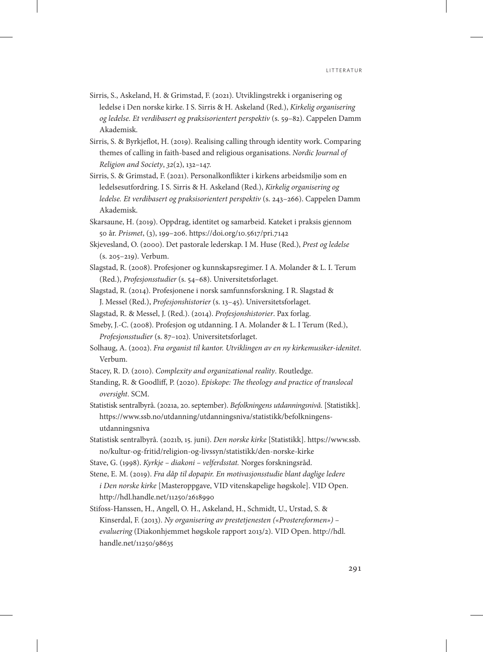- Sirris, S., Askeland, H. & Grimstad, F. (2021). Utviklingstrekk i organisering og ledelse i Den norske kirke. I S. Sirris & H. Askeland (Red.), *Kirkelig organisering og ledelse. Et verdibasert og praksisorientert perspektiv* (s. 59–82). Cappelen Damm Akademisk.
- Sirris, S. & Byrkjeflot, H. (2019). Realising calling through identity work. Comparing themes of calling in faith-based and religious organisations. *Nordic Journal of Religion and Society*, *32*(2), 132–147.
- Sirris, S. & Grimstad, F. (2021). Personalkonflikter i kirkens arbeidsmiljø som en ledelsesutfordring. I S. Sirris & H. Askeland (Red.), *Kirkelig organisering og ledelse. Et verdibasert og praksisorientert perspektiv* (s. 243–266). Cappelen Damm Akademisk.
- Skarsaune, H. (2019). Oppdrag, identitet og samarbeid. Kateket i praksis gjennom 50 år. *Prismet*, (3), 199–206.<https://doi.org/10.5617/pri.7142>
- Skjevesland, O. (2000). Det pastorale lederskap. I M. Huse (Red.), *Prest og ledelse* (s. 205–219). Verbum.
- Slagstad, R. (2008). Profesjoner og kunnskapsregimer. I A. Molander & L. I. Terum (Red.), *Profesjonsstudier* (s. 54–68). Universitetsforlaget.
- Slagstad, R. (2014). Profesjonene i norsk samfunnsforskning. I R. Slagstad & J. Messel (Red.), *Profesjonshistorier* (s. 13–45). Universitetsforlaget.
- Slagstad, R. & Messel, J. (Red.). (2014). *Profesjonshistorier*. Pax forlag.
- Smeby, J.-C. (2008). Profesjon og utdanning. I A. Molander & L. I Terum (Red.), *Profesjonsstudier* (s. 87–102)*.* Universitetsforlaget.
- Solhaug, A. (2002). *Fra organist til kantor. Utviklingen av en ny kirkemusiker-idenitet*. Verbum.
- Stacey, R. D. (2010). *Complexity and organizational reality*. Routledge.
- Standing, R. & Goodliff, P. (2020). *Episkope: The theology and practice of translocal oversight*. SCM.
- Statistisk sentralbyrå. (2021a, 20. september). *Befolkningens utdanningsnivå.* [Statistikk]. [https://www.ssb.no/utdanning/utdanningsniva/statistikk/befolkningens](https://www.ssb.no/utdanning/utdanningsniva/statistikk/befolkningens-utdanningsniva)[utdanningsniva](https://www.ssb.no/utdanning/utdanningsniva/statistikk/befolkningens-utdanningsniva)
- Statistisk sentralbyrå. (2021b, 15. juni). *Den norske kirke* [Statistikk]. [https://www.ssb.](https://www.ssb.no/kultur-og-fritid/religion-og-livssyn/statistikk/den-norske-kirke) [no/kultur-og-fritid/religion-og-livssyn/statistikk/den-norske-kirke](https://www.ssb.no/kultur-og-fritid/religion-og-livssyn/statistikk/den-norske-kirke)
- Stave, G. (1998). *Kyrkje diakoni velferdsstat.* Norges forskningsråd.
- Stene, E. M. (2019). *Fra dåp til dopapir. En motivasjonsstudie blant daglige ledere i Den norske kirke* [Masteroppgave, VID vitenskapelige høgskole]. VID Open. <http://hdl.handle.net/11250/2618990>
- Stifoss-Hanssen, H., Angell, O. H., Askeland, H., Schmidt, U., Urstad, S. & Kinserdal, F. (2013). *Ny organisering av prestetjenesten («Prostereformen») – evaluering* (Diakonhjemmet høgskole rapport 2013/2). VID Open. [http://hdl.](http://hdl.handle.net/11250/98635) [handle.net/11250/98635](http://hdl.handle.net/11250/98635)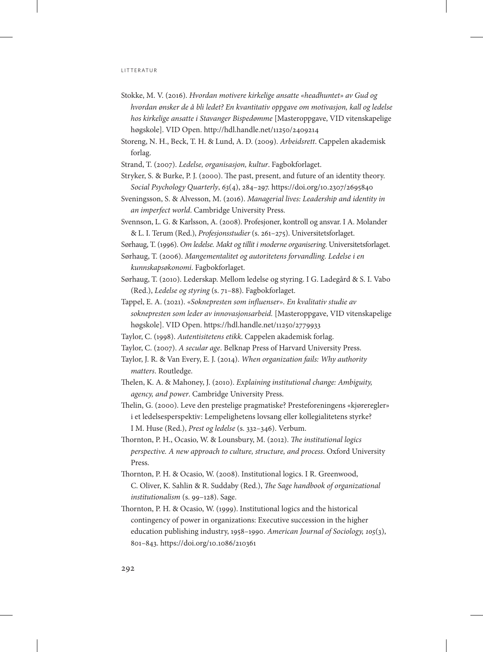- Stokke, M. V. (2016). *Hvordan motivere kirkelige ansatte «headhuntet» av Gud og hvordan ønsker de å bli ledet? En kvantitativ oppgave om motivasjon, kall og ledelse hos kirkelige ansatte i Stavanger Bispedømme* [Masteroppgave, VID vitenskapelige høgskole]. VID Open. <http://hdl.handle.net/11250/2409214>
- Storeng, N. H., Beck, T. H. & Lund, A. D. (2009). *Arbeidsrett*. Cappelen akademisk forlag.
- Strand, T. (2007). *Ledelse, organisasjon, kultur*. Fagbokforlaget.
- Stryker, S. & Burke, P. J. (2000). The past, present, and future of an identity theory. *Social Psychology Quarterly*, *63*(4), 284–297.<https://doi.org/10.2307/2695840>
- Sveningsson, S. & Alvesson, M. (2016). *Managerial lives: Leadership and identity in an imperfect world*. Cambridge University Press.
- Svennson, L. G. & Karlsson, A. (2008). Profesjoner, kontroll og ansvar. I A. Molander & L. I. Terum (Red.), *Profesjonsstudier* (s. 261–275). Universitetsforlaget.

Sørhaug, T. (1996). *Om ledelse. Makt og tillit i moderne organisering*. Universitetsforlaget.

Sørhaug, T. (2006). *Mangementalitet og autoritetens forvandling. Ledelse i en kunnskapsøkonomi*. Fagbokforlaget.

- Sørhaug, T. (2010). Lederskap. Mellom ledelse og styring. I G. Ladegård & S. I. Vabo (Red.), *Ledelse og styring* (s. 71–88). Fagbokforlaget.
- Tappel, E. A. (2021). *«Soknepresten som influenser». En kvalitativ studie av soknepresten som leder av innovasjonsarbeid.* [Masteroppgave, VID vitenskapelige høgskole]. VID Open. <https://hdl.handle.net/11250/2779933>
- Taylor, C. (1998). *Autentisitetens etikk*. Cappelen akademisk forlag.
- Taylor, C. (2007). *A secular age*. Belknap Press of Harvard University Press.
- Taylor, J. R. & Van Every, E. J. (2014). *When organization fails: Why authority matters*. Routledge.
- Thelen, K. A. & Mahoney, J. (2010). *Explaining institutional change: Ambiguity, agency, and power*. Cambridge University Press.
- Thelin, G. (2000). Leve den prestelige pragmatiske? Presteforeningens «kjøreregler» i et ledelsesperspektiv: Lempelighetens lovsang eller kollegialitetens styrke? I M. Huse (Red.), *Prest og ledelse* (s. 332–346). Verbum.
- Thornton, P. H., Ocasio, W. & Lounsbury, M. (2012). *The institutional logics perspective. A new approach to culture, structure, and process*. Oxford University Press.
- Thornton, P. H. & Ocasio, W. (2008). Institutional logics. I R. Greenwood, C. Oliver, K. Sahlin & R. Suddaby (Red.), *The Sage handbook of organizational institutionalism* (s. 99–128). Sage.
- Thornton, P. H. & Ocasio, W. (1999). Institutional logics and the historical contingency of power in organizations: Executive succession in the higher education publishing industry, 1958–1990. *American Journal of Sociology, 105*(3), 801–843.<https://doi.org/10.1086/210361>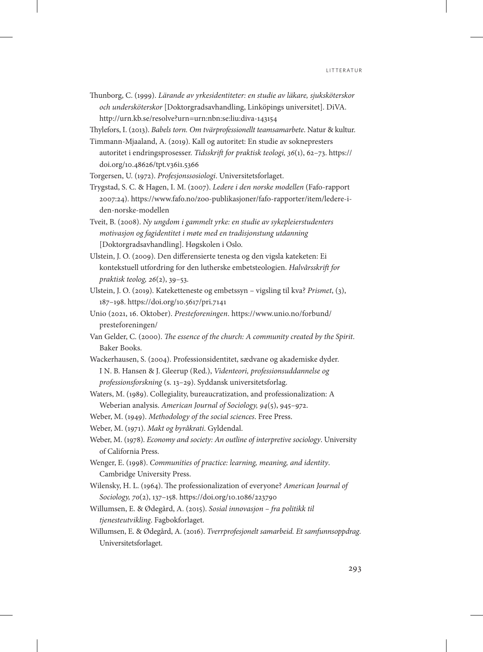- Thunborg, C. (1999). *Lärande av yrkesidentiteter: en studie av läkare, sjuksköterskor och undersköterskor* [Doktorgradsavhandling, Linköpings universitet]. DiVA. <http://urn.kb.se/resolve?urn=urn:nbn:se:liu:diva-143154>
- Thylefors, I. (2013). *Babels torn. Om tvärprofessionellt teamsamarbete*. Natur & kultur. Timmann-Mjaaland, A. (2019). Kall og autoritet: En studie av soknepresters
- autoritet i endringsprosesser. *Tidsskrift for praktisk teologi, 36*(1), 62–73. [https://](https://doi.org/10.48626/tpt.v36i1.5366) [doi.org/10.48626/tpt.v36i1.5366](https://doi.org/10.48626/tpt.v36i1.5366)

Torgersen, U. (1972). *Profesjonssosiologi*. Universitetsforlaget.

- Trygstad, S. C. & Hagen, I. M. (2007). *Ledere i den norske modellen* (Fafo-rapport 2007:24). [https://www.fafo.no/zoo-publikasjoner/fafo-rapporter/item/ledere-i](https://www.fafo.no/zoo-publikasjoner/fafo-rapporter/item/ledere-i-den-norske-modellen)[den-norske-modellen](https://www.fafo.no/zoo-publikasjoner/fafo-rapporter/item/ledere-i-den-norske-modellen)
- Tveit, B. (2008). *Ny ungdom i gammelt yrke: en studie av sykepleierstudenters motivasjon og fagidentitet i møte med en tradisjonstung utdanning* [Doktorgradsavhandling]. Høgskolen i Oslo.
- Ulstein, J. O. (2009). Den differensierte tenesta og den vigsla kateketen: Ei kontekstuell utfordring for den lutherske embetsteologien. *Halvårsskrift for praktisk teolog, 26*(2), 39–53.
- Ulstein, J. O. (2019). Kateketteneste og embetssyn vigsling til kva? *Prismet*, (3), 187–198. <https://doi.org/10.5617/pri.7141>
- Unio (2021, 16. Oktober). *Presteforeningen*. [https://www.unio.no/forbund/](https://www.unio.no/forbund/presteforeningen/) [presteforeningen/](https://www.unio.no/forbund/presteforeningen/)
- Van Gelder, C. (2000). *The essence of the church: A community created by the Spirit*. Baker Books.
- Wackerhausen, S. (2004). Professionsidentitet, sædvane og akademiske dyder. I N. B. Hansen & J. Gleerup (Red.), *Videnteori, professionsuddannelse og professionsforskning* (s. 13–29). Syddansk universitetsforlag.
- Waters, M. (1989). Collegiality, bureaucratization, and professionalization: A Weberian analysis. *American Journal of Sociology, 94*(5), 945–972.

Weber, M. (1949). *Methodology of the social sciences*. Free Press.

- Weber, M. (1971). *Makt og byråkrati*. Gyldendal.
- Weber, M. (1978). *Economy and society: An outline of interpretive sociology*. University of California Press.
- Wenger, E. (1998). *Communities of practice: learning, meaning, and identity*. Cambridge University Press.
- Wilensky, H. L. (1964). The professionalization of everyone? *American Journal of Sociology, 70*(2), 137–158. <https://doi.org/10.1086/223790>
- Willumsen, E. & Ødegård, A. (2015). *Sosial innovasjon fra politikk til tjenesteutvikling*. Fagbokforlaget.
- Willumsen, E. & Ødegård, A. (2016). *Tverrprofesjonelt samarbeid. Et samfunnsoppdrag*. Universitetsforlaget.